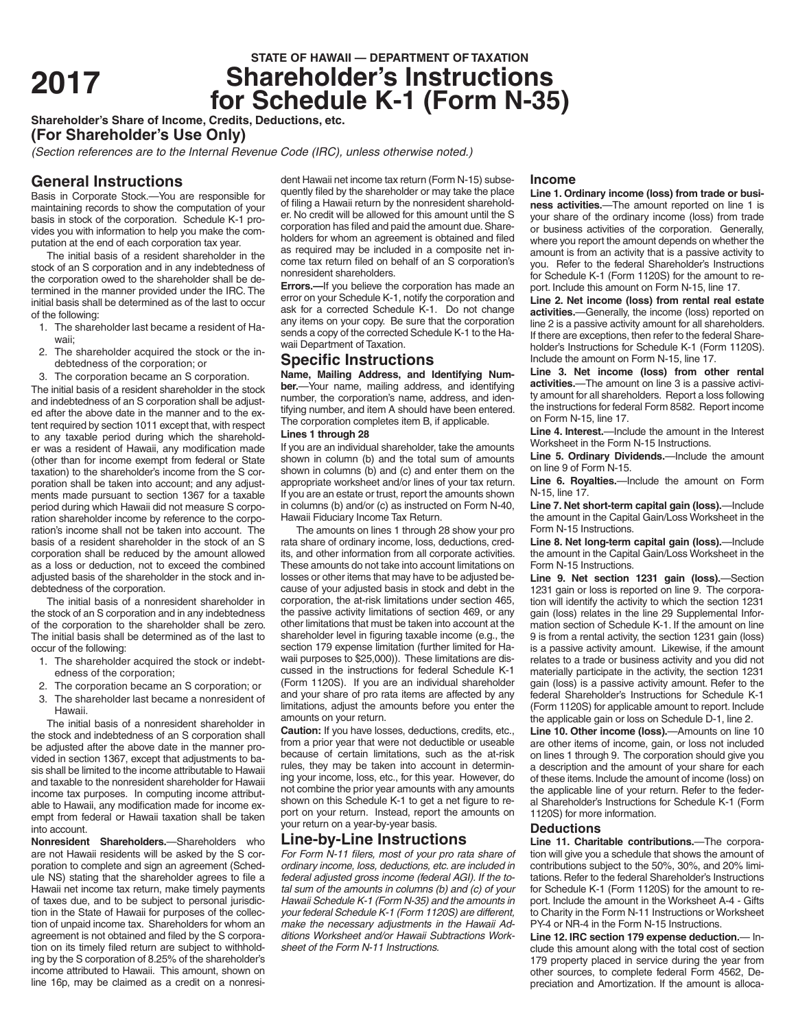# **STATE OF HAWAII — DEPARTMENT OF TAXATION**<br>**Shareholder's Instructions <sup>2017</sup> Shareholder's Instructions for Schedule K-1 (Form N-35)**

**Shareholder's Share of Income, Credits, Deductions, etc.**

**(For Shareholder's Use Only)**

*(Section references are to the Internal Revenue Code (IRC), unless otherwise noted.)*

# **General Instructions**

Basis in Corporate Stock.—You are responsible for maintaining records to show the computation of your basis in stock of the corporation. Schedule K-1 provides you with information to help you make the computation at the end of each corporation tax year.

The initial basis of a resident shareholder in the stock of an S corporation and in any indebtedness of the corporation owed to the shareholder shall be determined in the manner provided under the IRC. The initial basis shall be determined as of the last to occur of the following:

- 1. The shareholder last became a resident of Hawaii;
- 2. The shareholder acquired the stock or the indebtedness of the corporation; or
- 3. The corporation became an S corporation.

The initial basis of a resident shareholder in the stock and indebtedness of an S corporation shall be adjusted after the above date in the manner and to the extent required by section 1011 except that, with respect to any taxable period during which the shareholder was a resident of Hawaii, any modification made (other than for income exempt from federal or State taxation) to the shareholder's income from the S corporation shall be taken into account; and any adjustments made pursuant to section 1367 for a taxable period during which Hawaii did not measure S corporation shareholder income by reference to the corporation's income shall not be taken into account. The basis of a resident shareholder in the stock of an S corporation shall be reduced by the amount allowed as a loss or deduction, not to exceed the combined adjusted basis of the shareholder in the stock and indebtedness of the corporation.

The initial basis of a nonresident shareholder in the stock of an S corporation and in any indebtedness of the corporation to the shareholder shall be zero. The initial basis shall be determined as of the last to occur of the following:

- 1. The shareholder acquired the stock or indebtedness of the corporation;
- 2. The corporation became an S corporation; or
- 3. The shareholder last became a nonresident of Hawaii.

The initial basis of a nonresident shareholder in the stock and indebtedness of an S corporation shall be adjusted after the above date in the manner provided in section 1367, except that adjustments to basis shall be limited to the income attributable to Hawaii and taxable to the nonresident shareholder for Hawaii income tax purposes. In computing income attributable to Hawaii, any modification made for income exempt from federal or Hawaii taxation shall be taken into account.

**Nonresident Shareholders.**—Shareholders who are not Hawaii residents will be asked by the S corporation to complete and sign an agreement (Schedule NS) stating that the shareholder agrees to file a Hawaii net income tax return, make timely payments of taxes due, and to be subject to personal jurisdiction in the State of Hawaii for purposes of the collection of unpaid income tax. Shareholders for whom an agreement is not obtained and filed by the S corporation on its timely filed return are subject to withholding by the S corporation of 8.25% of the shareholder's income attributed to Hawaii. This amount, shown on line 16p, may be claimed as a credit on a nonresi-

dent Hawaii net income tax return (Form N-15) subsequently filed by the shareholder or may take the place of filing a Hawaii return by the nonresident shareholder. No credit will be allowed for this amount until the S corporation has filed and paid the amount due. Shareholders for whom an agreement is obtained and filed as required may be included in a composite net income tax return filed on behalf of an S corporation's nonresident shareholders.

**Errors.**—If you believe the corporation has made an error on your Schedule K-1, notify the corporation and ask for a corrected Schedule K-1. Do not change any items on your copy. Be sure that the corporation sends a copy of the corrected Schedule K-1 to the Hawaii Department of Taxation.

## **Specific Instructions**

**Name, Mailing Address, and Identifying Number.**—Your name, mailing address, and identifying number, the corporation's name, address, and identifying number, and item A should have been entered. The corporation completes item B, if applicable.

#### **Lines 1 through 28**

If you are an individual shareholder, take the amounts shown in column (b) and the total sum of amounts shown in columns (b) and (c) and enter them on the appropriate worksheet and/or lines of your tax return. If you are an estate or trust, report the amounts shown in columns (b) and/or (c) as instructed on Form N-40, Hawaii Fiduciary Income Tax Return.

The amounts on lines 1 through 28 show your pro rata share of ordinary income, loss, deductions, credits, and other information from all corporate activities. These amounts do not take into account limitations on losses or other items that may have to be adjusted because of your adjusted basis in stock and debt in the corporation, the at-risk limitations under section 465, the passive activity limitations of section 469, or any other limitations that must be taken into account at the shareholder level in figuring taxable income (e.g., the section 179 expense limitation (further limited for Hawaii purposes to \$25,000)). These limitations are discussed in the instructions for federal Schedule K-1 (Form 1120S). If you are an individual shareholder and your share of pro rata items are affected by any limitations, adjust the amounts before you enter the amounts on your return.

**Caution:** If you have losses, deductions, credits, etc., from a prior year that were not deductible or useable because of certain limitations, such as the at-risk rules, they may be taken into account in determining your income, loss, etc., for this year. However, do not combine the prior year amounts with any amounts shown on this Schedule K-1 to get a net figure to report on your return. Instead, report the amounts on your return on a year-by-year basis.

### **Line-by-Line Instructions**

*For Form N-11 filers, most of your pro rata share of ordinary income, loss, deductions, etc. are included in federal adjusted gross income (federal AGI). If the total sum of the amounts in columns (b) and (c) of your Hawaii Schedule K-1 (Form N-35) and the amounts in your federal Schedule K-1 (Form 1120S) are different, make the necessary adjustments in the Hawaii Additions Worksheet and/or Hawaii Subtractions Worksheet of the Form N-11 Instructions.*

#### **Income**

**Line 1. Ordinary income (loss) from trade or business activities.**—The amount reported on line 1 is your share of the ordinary income (loss) from trade or business activities of the corporation. Generally, where you report the amount depends on whether the amount is from an activity that is a passive activity to you. Refer to the federal Shareholder's Instructions for Schedule K-1 (Form 1120S) for the amount to report. Include this amount on Form N-15, line 17.

**Line 2. Net income (loss) from rental real estate activities.**—Generally, the income (loss) reported on line 2 is a passive activity amount for all shareholders. If there are exceptions, then refer to the federal Shareholder's Instructions for Schedule K-1 (Form 1120S). Include the amount on Form N-15, line 17.

**Line 3. Net income (loss) from other rental activities.**—The amount on line 3 is a passive activity amount for all shareholders. Report a loss following the instructions for federal Form 8582. Report income on Form N-15, line 17.

**Line 4. Interest.**—Include the amount in the Interest Worksheet in the Form N-15 Instructions.

**Line 5. Ordinary Dividends.**—Include the amount on line 9 of Form N-15.

**Line 6. Royalties.**—Include the amount on Form N-15, line 17.

**Line 7. Net short-term capital gain (loss).**—Include the amount in the Capital Gain/Loss Worksheet in the Form N-15 Instructions.

**Line 8. Net long-term capital gain (loss).**—Include the amount in the Capital Gain/Loss Worksheet in the Form N-15 Instructions.

**Line 9. Net section 1231 gain (loss).**—Section 1231 gain or loss is reported on line 9. The corporation will identify the activity to which the section 1231 gain (loss) relates in the line 29 Supplemental Information section of Schedule K-1. If the amount on line 9 is from a rental activity, the section 1231 gain (loss) is a passive activity amount. Likewise, if the amount relates to a trade or business activity and you did not materially participate in the activity, the section 1231 gain (loss) is a passive activity amount. Refer to the federal Shareholder's Instructions for Schedule K-1 (Form 1120S) for applicable amount to report. Include the applicable gain or loss on Schedule D-1, line 2.

**Line 10. Other income (loss).**—Amounts on line 10 are other items of income, gain, or loss not included on lines 1 through 9. The corporation should give you a description and the amount of your share for each of these items. Include the amount of income (loss) on the applicable line of your return. Refer to the federal Shareholder's Instructions for Schedule K-1 (Form 1120S) for more information.

#### **Deductions**

**Line 11. Charitable contributions.**—The corporation will give you a schedule that shows the amount of contributions subject to the 50%, 30%, and 20% limitations. Refer to the federal Shareholder's Instructions for Schedule K-1 (Form 1120S) for the amount to report. Include the amount in the Worksheet A-4 - Gifts to Charity in the Form N-11 Instructions or Worksheet PY-4 or NR-4 in the Form N-15 Instructions.

**Line 12. IRC section 179 expense deduction.**— Include this amount along with the total cost of section 179 property placed in service during the year from other sources, to complete federal Form 4562, Depreciation and Amortization. If the amount is alloca-